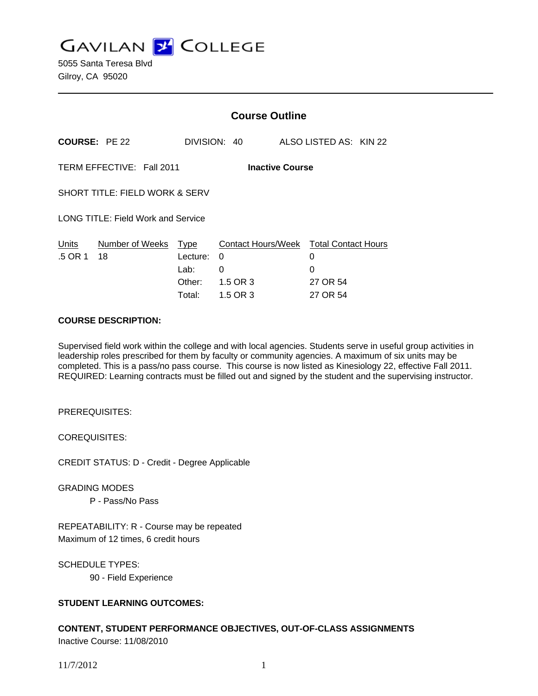**GAVILAN J COLLEGE** 

|                                                     |                       | <b>Course Outline</b> |                                             |                        |  |
|-----------------------------------------------------|-----------------------|-----------------------|---------------------------------------------|------------------------|--|
|                                                     | <b>COURSE: PE 22</b>  |                       | DIVISION: 40                                | ALSO LISTED AS: KIN 22 |  |
| TERM EFFECTIVE: Fall 2011<br><b>Inactive Course</b> |                       |                       |                                             |                        |  |
| <b>SHORT TITLE: FIELD WORK &amp; SERV</b>           |                       |                       |                                             |                        |  |
| <b>LONG TITLE: Field Work and Service</b>           |                       |                       |                                             |                        |  |
| Units<br>.5 OR 1                                    | Number of Weeks<br>18 | Type<br>Lecture:      | Contact Hours/Week Total Contact Hours<br>0 | 0                      |  |
|                                                     |                       | Lab:                  | 0                                           | 0                      |  |
|                                                     |                       | Other:                | 1.5 OR 3                                    | 27 OR 54               |  |
|                                                     |                       | Total:                | 1.5 OR 3                                    | 27 OR 54               |  |

#### **COURSE DESCRIPTION:**

Supervised field work within the college and with local agencies. Students serve in useful group activities in leadership roles prescribed for them by faculty or community agencies. A maximum of six units may be completed. This is a pass/no pass course. This course is now listed as Kinesiology 22, effective Fall 2011. REQUIRED: Learning contracts must be filled out and signed by the student and the supervising instructor.

PREREQUISITES:

COREQUISITES:

CREDIT STATUS: D - Credit - Degree Applicable

GRADING MODES P - Pass/No Pass

REPEATABILITY: R - Course may be repeated Maximum of 12 times, 6 credit hours

SCHEDULE TYPES: 90 - Field Experience

# **STUDENT LEARNING OUTCOMES:**

**CONTENT, STUDENT PERFORMANCE OBJECTIVES, OUT-OF-CLASS ASSIGNMENTS**  Inactive Course: 11/08/2010